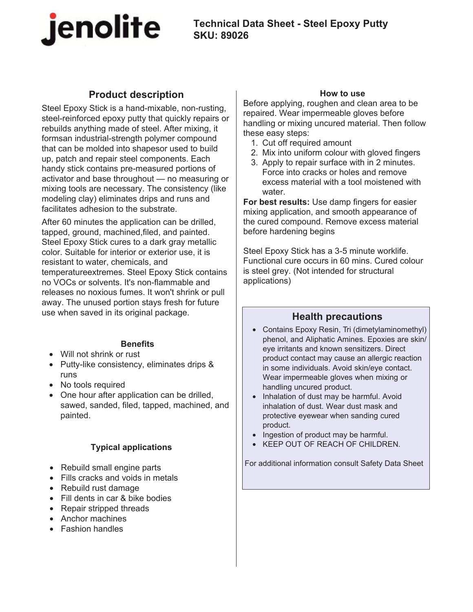

# **Technical Data Sheet - Steel Epoxy Putty SKU: 89026**

# **Product description**

Steel Epoxy Stick is a hand-mixable, non-rusting, steel-reinforced epoxy putty that quickly repairs or rebuilds anything made of steel. After mixing, it formsan industrial-strength polymer compound that can be molded into shapesor used to build up, patch and repair steel components. Each handy stick contains pre-measured portions of activator and base throughout — no measuring or mixing tools are necessary. The consistency (like modeling clay) eliminates drips and runs and facilitates adhesion to the substrate.

After 60 minutes the application can be drilled, tapped, ground, machined,filed, and painted. Steel Epoxy Stick cures to a dark gray metallic color. Suitable for interior or exterior use, it is resistant to water, chemicals, and temperatureextremes. Steel Epoxy Stick contains no VOCs or solvents. It's non-flammable and releases no noxious fumes. It won't shrink or pull away. The unused portion stays fresh for future use when saved in its original package.

### **Benefits**

- Will not shrink or rust
- Putty-like consistency, eliminates drips & runs
- No tools required
- One hour after application can be drilled, sawed, sanded, filed, tapped, machined, and painted.

## **Typical applications**

- Rebuild small engine parts
- Fills cracks and voids in metals
- Rebuild rust damage
- Fill dents in car & bike bodies
- Repair stripped threads
- Anchor machines
- Fashion handles

#### **How to use**

Before applying, roughen and clean area to be repaired. Wear impermeable gloves before handling or mixing uncured material. Then follow these easy steps:

- 1. Cut off required amount
- 2. Mix into uniform colour with gloved fingers
- 3. Apply to repair surface with in 2 minutes. Force into cracks or holes and remove excess material with a tool moistened with water.

**For best results:** Use damp fingers for easier mixing application, and smooth appearance of the cured compound. Remove excess material before hardening begins

Steel Epoxy Stick has a 3-5 minute worklife. Functional cure occurs in 60 mins. Cured colour is steel grey. (Not intended for structural applications)

## **Health precautions**

- Contains Epoxy Resin, Tri (dimetylaminomethyl) phenol, and Aliphatic Amines. Epoxies are skin/ eye irritants and known sensitizers. Direct product contact may cause an allergic reaction in some individuals. Avoid skin/eye contact. Wear impermeable gloves when mixing or handling uncured product.
- Inhalation of dust may be harmful. Avoid inhalation of dust. Wear dust mask and protective eyewear when sanding cured product.
- Ingestion of product may be harmful.
- KEEP OUT OF REACH OF CHILDREN.

For additional information consult Safety Data Sheet